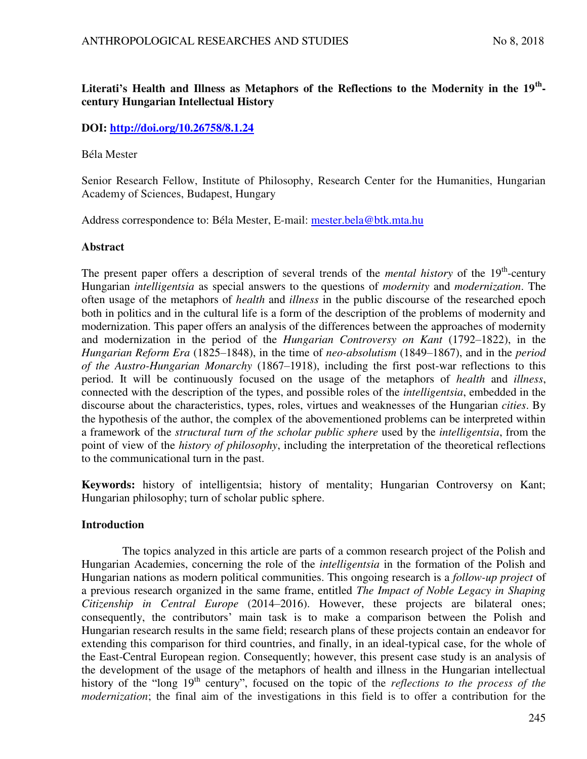# **Literati's Health and Illness as Metaphors of the Reflections to the Modernity in the 19th century Hungarian Intellectual History**

# **DOI: <http://doi.org/10.26758/8.1.24>**

#### Béla Mester

Senior Research Fellow, Institute of Philosophy, Research Center for the Humanities, Hungarian Academy of Sciences, Budapest, Hungary

Address correspondence to: Béla Mester, E-mail: [mester.bela@btk.mta.hu](mailto:mester.bela@btk.mta.hu)

### **Abstract**

The present paper offers a description of several trends of the *mental history* of the 19<sup>th</sup>-century Hungarian *intelligentsia* as special answers to the questions of *modernity* and *modernization*. The often usage of the metaphors of *health* and *illness* in the public discourse of the researched epoch both in politics and in the cultural life is a form of the description of the problems of modernity and modernization. This paper offers an analysis of the differences between the approaches of modernity and modernization in the period of the *Hungarian Controversy on Kant* (1792–1822), in the *Hungarian Reform Era* (1825–1848), in the time of *neo-absolutism* (1849–1867), and in the *period of the Austro-Hungarian Monarchy* (1867–1918), including the first post-war reflections to this period. It will be continuously focused on the usage of the metaphors of *health* and *illness*, connected with the description of the types, and possible roles of the *intelligentsia*, embedded in the discourse about the characteristics, types, roles, virtues and weaknesses of the Hungarian *cities*. By the hypothesis of the author, the complex of the abovementioned problems can be interpreted within a framework of the *structural turn of the scholar public sphere* used by the *intelligentsia*, from the point of view of the *history of philosophy*, including the interpretation of the theoretical reflections to the communicational turn in the past.

**Keywords:** history of intelligentsia; history of mentality; Hungarian Controversy on Kant; Hungarian philosophy; turn of scholar public sphere.

### **Introduction**

The topics analyzed in this article are parts of a common research project of the Polish and Hungarian Academies, concerning the role of the *intelligentsia* in the formation of the Polish and Hungarian nations as modern political communities. This ongoing research is a *follow-up project* of a previous research organized in the same frame, entitled *The Impact of Noble Legacy in Shaping Citizenship in Central Europe* (2014–2016). However, these projects are bilateral ones; consequently, the contributors' main task is to make a comparison between the Polish and Hungarian research results in the same field; research plans of these projects contain an endeavor for extending this comparison for third countries, and finally, in an ideal-typical case, for the whole of the East-Central European region. Consequently; however, this present case study is an analysis of the development of the usage of the metaphors of health and illness in the Hungarian intellectual history of the "long 19<sup>th</sup> century", focused on the topic of the *reflections to the process of the modernization*; the final aim of the investigations in this field is to offer a contribution for the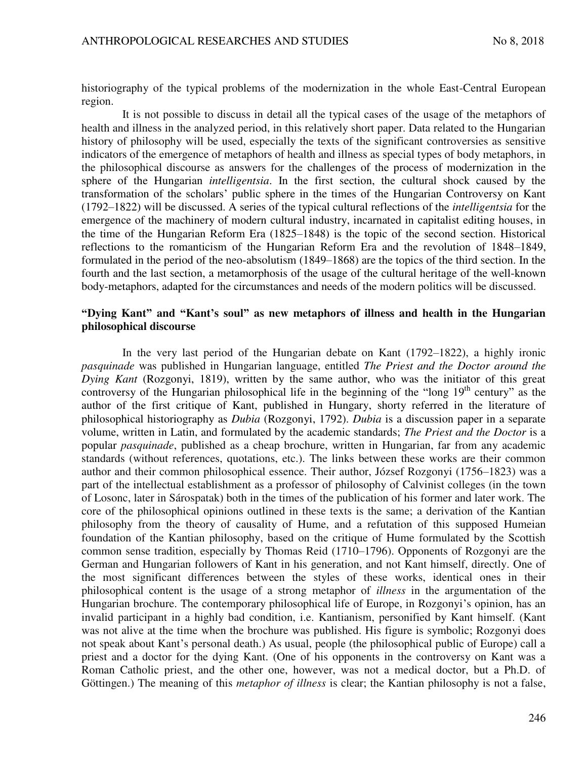historiography of the typical problems of the modernization in the whole East-Central European region.

It is not possible to discuss in detail all the typical cases of the usage of the metaphors of health and illness in the analyzed period, in this relatively short paper. Data related to the Hungarian history of philosophy will be used, especially the texts of the significant controversies as sensitive indicators of the emergence of metaphors of health and illness as special types of body metaphors, in the philosophical discourse as answers for the challenges of the process of modernization in the sphere of the Hungarian *intelligentsia*. In the first section, the cultural shock caused by the transformation of the scholars' public sphere in the times of the Hungarian Controversy on Kant (1792–1822) will be discussed. A series of the typical cultural reflections of the *intelligentsia* for the emergence of the machinery of modern cultural industry, incarnated in capitalist editing houses, in the time of the Hungarian Reform Era (1825–1848) is the topic of the second section. Historical reflections to the romanticism of the Hungarian Reform Era and the revolution of 1848–1849, formulated in the period of the neo-absolutism (1849–1868) are the topics of the third section. In the fourth and the last section, a metamorphosis of the usage of the cultural heritage of the well-known body-metaphors, adapted for the circumstances and needs of the modern politics will be discussed.

## **"Dying Kant" and "Kant's soul" as new metaphors of illness and health in the Hungarian philosophical discourse**

In the very last period of the Hungarian debate on Kant (1792–1822), a highly ironic *pasquinade* was published in Hungarian language, entitled *The Priest and the Doctor around the Dying Kant* (Rozgonyi, 1819), written by the same author, who was the initiator of this great controversy of the Hungarian philosophical life in the beginning of the "long  $19<sup>th</sup>$  century" as the author of the first critique of Kant, published in Hungary, shorty referred in the literature of philosophical historiography as *Dubia* (Rozgonyi, 1792). *Dubia* is a discussion paper in a separate volume, written in Latin, and formulated by the academic standards; *The Priest and the Doctor* is a popular *pasquinade*, published as a cheap brochure, written in Hungarian, far from any academic standards (without references, quotations, etc.). The links between these works are their common author and their common philosophical essence. Their author, József Rozgonyi (1756–1823) was a part of the intellectual establishment as a professor of philosophy of Calvinist colleges (in the town of Losonc, later in Sárospatak) both in the times of the publication of his former and later work. The core of the philosophical opinions outlined in these texts is the same; a derivation of the Kantian philosophy from the theory of causality of Hume, and a refutation of this supposed Humeian foundation of the Kantian philosophy, based on the critique of Hume formulated by the Scottish common sense tradition, especially by Thomas Reid (1710–1796). Opponents of Rozgonyi are the German and Hungarian followers of Kant in his generation, and not Kant himself, directly. One of the most significant differences between the styles of these works, identical ones in their philosophical content is the usage of a strong metaphor of *illness* in the argumentation of the Hungarian brochure. The contemporary philosophical life of Europe, in Rozgonyi's opinion, has an invalid participant in a highly bad condition, i.e. Kantianism, personified by Kant himself. (Kant was not alive at the time when the brochure was published. His figure is symbolic; Rozgonyi does not speak about Kant's personal death.) As usual, people (the philosophical public of Europe) call a priest and a doctor for the dying Kant. (One of his opponents in the controversy on Kant was a Roman Catholic priest, and the other one, however, was not a medical doctor, but a Ph.D. of Göttingen.) The meaning of this *metaphor of illness* is clear; the Kantian philosophy is not a false,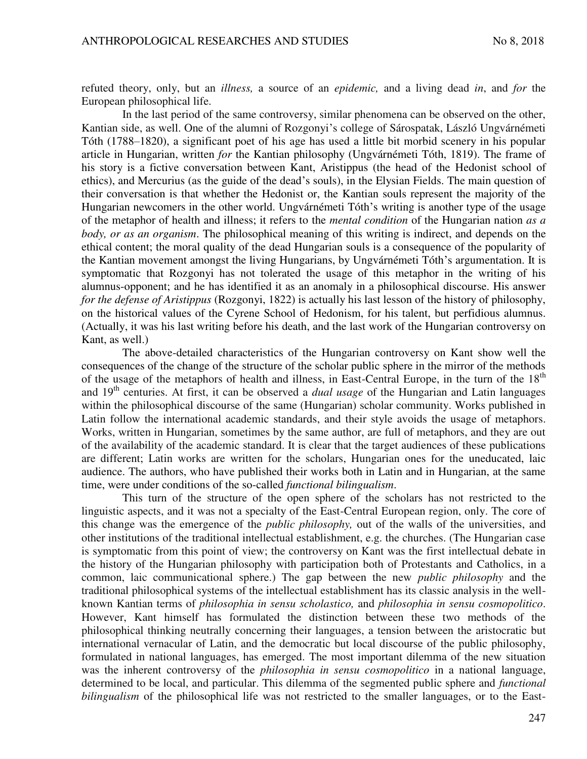refuted theory, only, but an *illness,* a source of an *epidemic,* and a living dead *in*, and *for* the European philosophical life.

In the last period of the same controversy, similar phenomena can be observed on the other, Kantian side, as well. One of the alumni of Rozgonyi's college of Sárospatak, László Ungvárnémeti Tóth (1788–1820), a significant poet of his age has used a little bit morbid scenery in his popular article in Hungarian, written *for* the Kantian philosophy (Ungvárnémeti Tóth, 1819). The frame of his story is a fictive conversation between Kant, Aristippus (the head of the Hedonist school of ethics), and Mercurius (as the guide of the dead's souls), in the Elysian Fields. The main question of their conversation is that whether the Hedonist or, the Kantian souls represent the majority of the Hungarian newcomers in the other world. Ungvárnémeti Tóth's writing is another type of the usage of the metaphor of health and illness; it refers to the *mental condition* of the Hungarian nation *as a body, or as an organism*. The philosophical meaning of this writing is indirect, and depends on the ethical content; the moral quality of the dead Hungarian souls is a consequence of the popularity of the Kantian movement amongst the living Hungarians, by Ungvárnémeti Tóth's argumentation. It is symptomatic that Rozgonyi has not tolerated the usage of this metaphor in the writing of his alumnus-opponent; and he has identified it as an anomaly in a philosophical discourse. His answer *for the defense of Aristippus* (Rozgonyi, 1822) is actually his last lesson of the history of philosophy, on the historical values of the Cyrene School of Hedonism, for his talent, but perfidious alumnus. (Actually, it was his last writing before his death, and the last work of the Hungarian controversy on Kant, as well.)

The above-detailed characteristics of the Hungarian controversy on Kant show well the consequences of the change of the structure of the scholar public sphere in the mirror of the methods of the usage of the metaphors of health and illness, in East-Central Europe, in the turn of the 18<sup>th</sup> and 19<sup>th</sup> centuries. At first, it can be observed a *dual usage* of the Hungarian and Latin languages within the philosophical discourse of the same (Hungarian) scholar community. Works published in Latin follow the international academic standards, and their style avoids the usage of metaphors. Works, written in Hungarian, sometimes by the same author, are full of metaphors, and they are out of the availability of the academic standard. It is clear that the target audiences of these publications are different; Latin works are written for the scholars, Hungarian ones for the uneducated, laic audience. The authors, who have published their works both in Latin and in Hungarian, at the same time, were under conditions of the so-called *functional bilingualism*.

This turn of the structure of the open sphere of the scholars has not restricted to the linguistic aspects, and it was not a specialty of the East-Central European region, only. The core of this change was the emergence of the *public philosophy,* out of the walls of the universities, and other institutions of the traditional intellectual establishment, e.g. the churches. (The Hungarian case is symptomatic from this point of view; the controversy on Kant was the first intellectual debate in the history of the Hungarian philosophy with participation both of Protestants and Catholics, in a common, laic communicational sphere.) The gap between the new *public philosophy* and the traditional philosophical systems of the intellectual establishment has its classic analysis in the wellknown Kantian terms of *philosophia in sensu scholastico,* and *philosophia in sensu cosmopolitico*. However, Kant himself has formulated the distinction between these two methods of the philosophical thinking neutrally concerning their languages, a tension between the aristocratic but international vernacular of Latin, and the democratic but local discourse of the public philosophy, formulated in national languages, has emerged. The most important dilemma of the new situation was the inherent controversy of the *philosophia in sensu cosmopolitico* in a national language, determined to be local, and particular. This dilemma of the segmented public sphere and *functional bilingualism* of the philosophical life was not restricted to the smaller languages, or to the East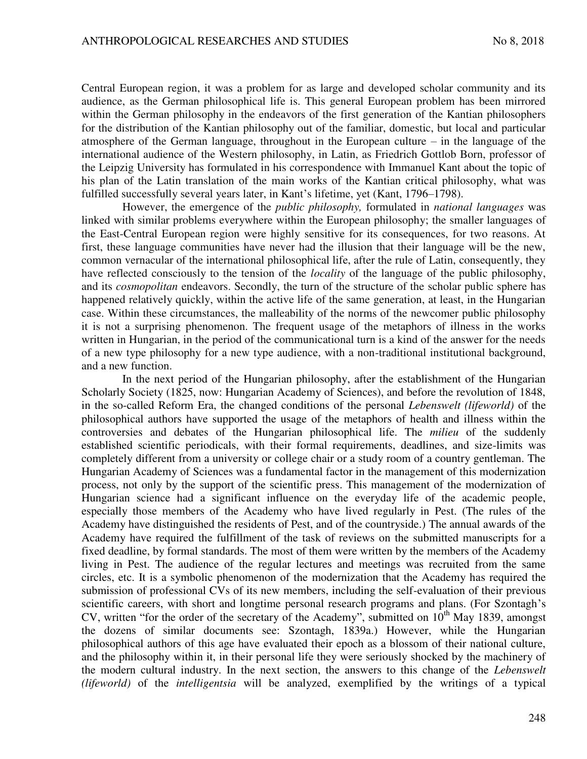Central European region, it was a problem for as large and developed scholar community and its audience, as the German philosophical life is. This general European problem has been mirrored within the German philosophy in the endeavors of the first generation of the Kantian philosophers for the distribution of the Kantian philosophy out of the familiar, domestic, but local and particular atmosphere of the German language, throughout in the European culture – in the language of the international audience of the Western philosophy, in Latin, as Friedrich Gottlob Born, professor of the Leipzig University has formulated in his correspondence with Immanuel Kant about the topic of his plan of the Latin translation of the main works of the Kantian critical philosophy, what was fulfilled successfully several years later, in Kant's lifetime, yet (Kant, 1796–1798).

However, the emergence of the *public philosophy,* formulated in *national languages* was linked with similar problems everywhere within the European philosophy; the smaller languages of the East-Central European region were highly sensitive for its consequences, for two reasons. At first, these language communities have never had the illusion that their language will be the new, common vernacular of the international philosophical life, after the rule of Latin, consequently, they have reflected consciously to the tension of the *locality* of the language of the public philosophy, and its *cosmopolitan* endeavors. Secondly, the turn of the structure of the scholar public sphere has happened relatively quickly, within the active life of the same generation, at least, in the Hungarian case. Within these circumstances, the malleability of the norms of the newcomer public philosophy it is not a surprising phenomenon. The frequent usage of the metaphors of illness in the works written in Hungarian, in the period of the communicational turn is a kind of the answer for the needs of a new type philosophy for a new type audience, with a non-traditional institutional background, and a new function.

In the next period of the Hungarian philosophy, after the establishment of the Hungarian Scholarly Society (1825, now: Hungarian Academy of Sciences), and before the revolution of 1848, in the so-called Reform Era, the changed conditions of the personal *Lebenswelt (lifeworld)* of the philosophical authors have supported the usage of the metaphors of health and illness within the controversies and debates of the Hungarian philosophical life. The *milieu* of the suddenly established scientific periodicals, with their formal requirements, deadlines, and size-limits was completely different from a university or college chair or a study room of a country gentleman. The Hungarian Academy of Sciences was a fundamental factor in the management of this modernization process, not only by the support of the scientific press. This management of the modernization of Hungarian science had a significant influence on the everyday life of the academic people, especially those members of the Academy who have lived regularly in Pest. (The rules of the Academy have distinguished the residents of Pest, and of the countryside.) The annual awards of the Academy have required the fulfillment of the task of reviews on the submitted manuscripts for a fixed deadline, by formal standards. The most of them were written by the members of the Academy living in Pest. The audience of the regular lectures and meetings was recruited from the same circles, etc. It is a symbolic phenomenon of the modernization that the Academy has required the submission of professional CVs of its new members, including the self-evaluation of their previous scientific careers, with short and longtime personal research programs and plans. (For Szontagh's CV, written "for the order of the secretary of the Academy", submitted on  $10<sup>th</sup>$  May 1839, amongst the dozens of similar documents see: Szontagh, 1839a.) However, while the Hungarian philosophical authors of this age have evaluated their epoch as a blossom of their national culture, and the philosophy within it, in their personal life they were seriously shocked by the machinery of the modern cultural industry. In the next section, the answers to this change of the *Lebenswelt (lifeworld)* of the *intelligentsia* will be analyzed, exemplified by the writings of a typical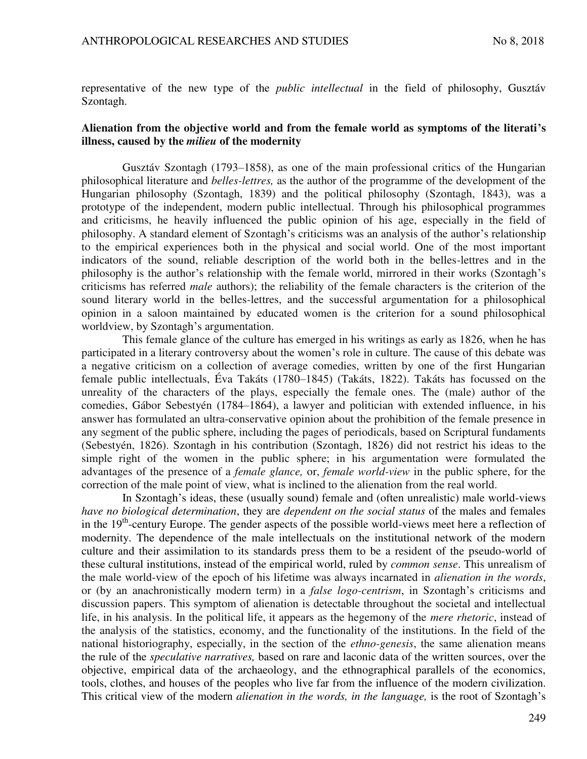representative of the new type of the *public intellectual* in the field of philosophy, Gusztáv Szontagh.

## **Alienation from the objective world and from the female world as symptoms of the literati's illness, caused by the** *milieu* **of the modernity**

Gusztáv Szontagh (1793–1858), as one of the main professional critics of the Hungarian philosophical literature and *belles-lettres,* as the author of the programme of the development of the Hungarian philosophy (Szontagh, 1839) and the political philosophy (Szontagh, 1843), was a prototype of the independent, modern public intellectual. Through his philosophical programmes and criticisms, he heavily influenced the public opinion of his age, especially in the field of philosophy. A standard element of Szontagh's criticisms was an analysis of the author's relationship to the empirical experiences both in the physical and social world. One of the most important indicators of the sound, reliable description of the world both in the belles-lettres and in the philosophy is the author's relationship with the female world, mirrored in their works (Szontagh's criticisms has referred *male* authors); the reliability of the female characters is the criterion of the sound literary world in the belles-lettres, and the successful argumentation for a philosophical opinion in a saloon maintained by educated women is the criterion for a sound philosophical worldview, by Szontagh's argumentation.

This female glance of the culture has emerged in his writings as early as 1826, when he has participated in a literary controversy about the women's role in culture. The cause of this debate was a negative criticism on a collection of average comedies, written by one of the first Hungarian female public intellectuals, Éva Takáts (1780–1845) (Takáts, 1822). Takáts has focussed on the unreality of the characters of the plays, especially the female ones. The (male) author of the comedies, Gábor Sebestyén (1784–1864), a lawyer and politician with extended influence, in his answer has formulated an ultra-conservative opinion about the prohibition of the female presence in any segment of the public sphere, including the pages of periodicals, based on Scriptural fundaments (Sebestyén, 1826). Szontagh in his contribution (Szontagh, 1826) did not restrict his ideas to the simple right of the women in the public sphere; in his argumentation were formulated the advantages of the presence of a *female glance,* or, *female world-view* in the public sphere, for the correction of the male point of view, what is inclined to the alienation from the real world.

In Szontagh's ideas, these (usually sound) female and (often unrealistic) male world-views *have no biological determination*, they are *dependent on the social status* of the males and females in the  $19<sup>th</sup>$ -century Europe. The gender aspects of the possible world-views meet here a reflection of modernity. The dependence of the male intellectuals on the institutional network of the modern culture and their assimilation to its standards press them to be a resident of the pseudo-world of these cultural institutions, instead of the empirical world, ruled by *common sense*. This unrealism of the male world-view of the epoch of his lifetime was always incarnated in *alienation in the words*, or (by an anachronistically modern term) in a *false logo-centrism*, in Szontagh's criticisms and discussion papers. This symptom of alienation is detectable throughout the societal and intellectual life, in his analysis. In the political life, it appears as the hegemony of the *mere rhetoric*, instead of the analysis of the statistics, economy, and the functionality of the institutions. In the field of the national historiography, especially, in the section of the *ethno-genesis*, the same alienation means the rule of the *speculative narratives,* based on rare and laconic data of the written sources, over the objective, empirical data of the archaeology, and the ethnographical parallels of the economics, tools, clothes, and houses of the peoples who live far from the influence of the modern civilization. This critical view of the modern *alienation in the words, in the language,* is the root of Szontagh's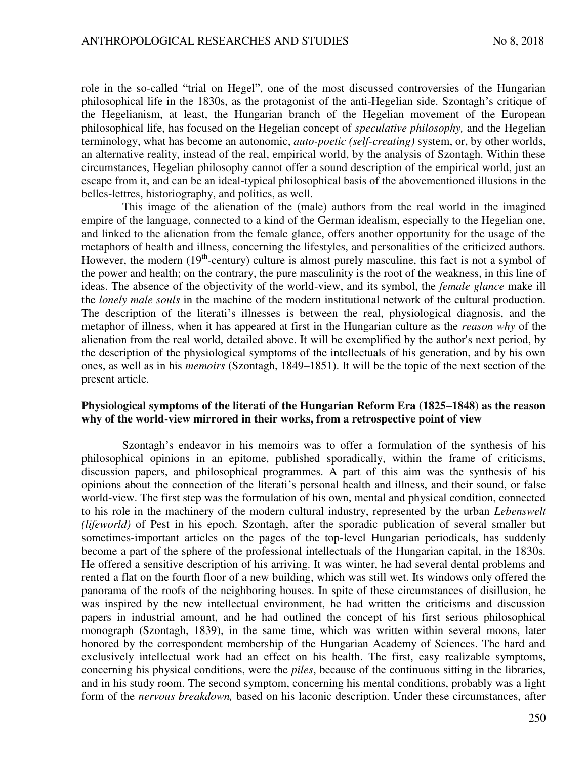role in the so-called "trial on Hegel", one of the most discussed controversies of the Hungarian philosophical life in the 1830s, as the protagonist of the anti-Hegelian side. Szontagh's critique of the Hegelianism, at least, the Hungarian branch of the Hegelian movement of the European philosophical life, has focused on the Hegelian concept of *speculative philosophy,* and the Hegelian terminology, what has become an autonomic, *auto-poetic (self-creating)* system, or, by other worlds, an alternative reality, instead of the real, empirical world, by the analysis of Szontagh. Within these circumstances, Hegelian philosophy cannot offer a sound description of the empirical world, just an escape from it, and can be an ideal-typical philosophical basis of the abovementioned illusions in the belles-lettres, historiography, and politics, as well.

This image of the alienation of the (male) authors from the real world in the imagined empire of the language, connected to a kind of the German idealism, especially to the Hegelian one, and linked to the alienation from the female glance, offers another opportunity for the usage of the metaphors of health and illness, concerning the lifestyles, and personalities of the criticized authors. However, the modern  $(19<sup>th</sup>-century)$  culture is almost purely masculine, this fact is not a symbol of the power and health; on the contrary, the pure masculinity is the root of the weakness, in this line of ideas. The absence of the objectivity of the world-view, and its symbol, the *female glance* make ill the *lonely male souls* in the machine of the modern institutional network of the cultural production. The description of the literati's illnesses is between the real, physiological diagnosis, and the metaphor of illness, when it has appeared at first in the Hungarian culture as the *reason why* of the alienation from the real world, detailed above. It will be exemplified by the author's next period, by the description of the physiological symptoms of the intellectuals of his generation, and by his own ones, as well as in his *memoirs* (Szontagh, 1849–1851). It will be the topic of the next section of the present article.

#### **Physiological symptoms of the literati of the Hungarian Reform Era (1825–1848) as the reason why of the world-view mirrored in their works, from a retrospective point of view**

Szontagh's endeavor in his memoirs was to offer a formulation of the synthesis of his philosophical opinions in an epitome, published sporadically, within the frame of criticisms, discussion papers, and philosophical programmes. A part of this aim was the synthesis of his opinions about the connection of the literati's personal health and illness, and their sound, or false world-view. The first step was the formulation of his own, mental and physical condition, connected to his role in the machinery of the modern cultural industry, represented by the urban *Lebenswelt (lifeworld)* of Pest in his epoch. Szontagh, after the sporadic publication of several smaller but sometimes-important articles on the pages of the top-level Hungarian periodicals, has suddenly become a part of the sphere of the professional intellectuals of the Hungarian capital, in the 1830s. He offered a sensitive description of his arriving. It was winter, he had several dental problems and rented a flat on the fourth floor of a new building, which was still wet. Its windows only offered the panorama of the roofs of the neighboring houses. In spite of these circumstances of disillusion, he was inspired by the new intellectual environment, he had written the criticisms and discussion papers in industrial amount, and he had outlined the concept of his first serious philosophical monograph (Szontagh, 1839), in the same time, which was written within several moons, later honored by the correspondent membership of the Hungarian Academy of Sciences. The hard and exclusively intellectual work had an effect on his health. The first, easy realizable symptoms, concerning his physical conditions, were the *piles*, because of the continuous sitting in the libraries, and in his study room. The second symptom, concerning his mental conditions, probably was a light form of the *nervous breakdown,* based on his laconic description. Under these circumstances, after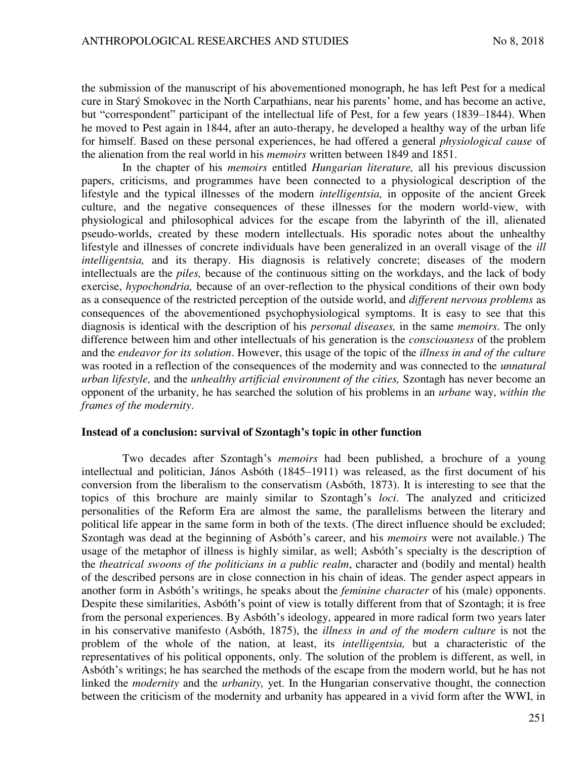the submission of the manuscript of his abovementioned monograph, he has left Pest for a medical cure in Starý Smokovec in the North Carpathians, near his parents' home, and has become an active, but "correspondent" participant of the intellectual life of Pest, for a few years (1839–1844). When he moved to Pest again in 1844, after an auto-therapy, he developed a healthy way of the urban life for himself. Based on these personal experiences, he had offered a general *physiological cause* of the alienation from the real world in his *memoirs* written between 1849 and 1851.

In the chapter of his *memoirs* entitled *Hungarian literature,* all his previous discussion papers, criticisms, and programmes have been connected to a physiological description of the lifestyle and the typical illnesses of the modern *intelligentsia,* in opposite of the ancient Greek culture, and the negative consequences of these illnesses for the modern world-view, with physiological and philosophical advices for the escape from the labyrinth of the ill, alienated pseudo-worlds, created by these modern intellectuals. His sporadic notes about the unhealthy lifestyle and illnesses of concrete individuals have been generalized in an overall visage of the *ill intelligentsia*, and its therapy. His diagnosis is relatively concrete; diseases of the modern intellectuals are the *piles,* because of the continuous sitting on the workdays, and the lack of body exercise, *hypochondria,* because of an over-reflection to the physical conditions of their own body as a consequence of the restricted perception of the outside world, and *different nervous problems* as consequences of the abovementioned psychophysiological symptoms. It is easy to see that this diagnosis is identical with the description of his *personal diseases,* in the same *memoirs*. The only difference between him and other intellectuals of his generation is the *consciousness* of the problem and the *endeavor for its solution*. However, this usage of the topic of the *illness in and of the culture* was rooted in a reflection of the consequences of the modernity and was connected to the *unnatural urban lifestyle,* and the *unhealthy artificial environment of the cities,* Szontagh has never become an opponent of the urbanity, he has searched the solution of his problems in an *urbane* way, *within the frames of the modernity*.

#### **Instead of a conclusion: survival of Szontagh's topic in other function**

Two decades after Szontagh's *memoirs* had been published, a brochure of a young intellectual and politician, János Asbóth (1845–1911) was released, as the first document of his conversion from the liberalism to the conservatism (Asbóth, 1873). It is interesting to see that the topics of this brochure are mainly similar to Szontagh's *loci*. The analyzed and criticized personalities of the Reform Era are almost the same, the parallelisms between the literary and political life appear in the same form in both of the texts. (The direct influence should be excluded; Szontagh was dead at the beginning of Asbóth's career, and his *memoirs* were not available.) The usage of the metaphor of illness is highly similar, as well; Asbóth's specialty is the description of the *theatrical swoons of the politicians in a public realm*, character and (bodily and mental) health of the described persons are in close connection in his chain of ideas. The gender aspect appears in another form in Asbóth's writings, he speaks about the *feminine character* of his (male) opponents. Despite these similarities, Asbóth's point of view is totally different from that of Szontagh; it is free from the personal experiences. By Asbóth's ideology, appeared in more radical form two years later in his conservative manifesto (Asbóth, 1875), the *illness in and of the modern culture* is not the problem of the whole of the nation, at least, its *intelligentsia,* but a characteristic of the representatives of his political opponents, only. The solution of the problem is different, as well, in Asbóth's writings; he has searched the methods of the escape from the modern world, but he has not linked the *modernity* and the *urbanity,* yet. In the Hungarian conservative thought, the connection between the criticism of the modernity and urbanity has appeared in a vivid form after the WWI, in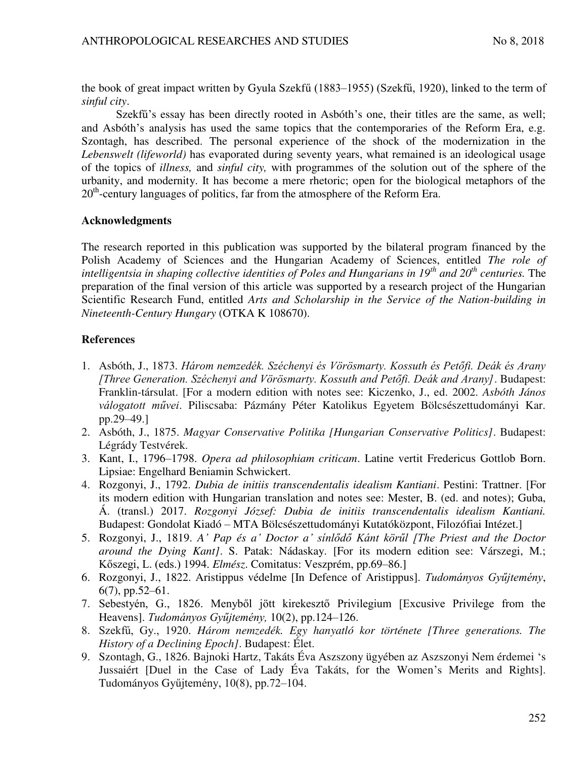the book of great impact written by Gyula Szekfű (1883–1955) (Szekfű, 1920), linked to the term of *sinful city*.

Szekfű's essay has been directly rooted in Asbóth's one, their titles are the same, as well; and Asbóth's analysis has used the same topics that the contemporaries of the Reform Era, e.g. Szontagh, has described. The personal experience of the shock of the modernization in the *Lebenswelt (lifeworld)* has evaporated during seventy years, what remained is an ideological usage of the topics of *illness,* and *sinful city,* with programmes of the solution out of the sphere of the urbanity, and modernity. It has become a mere rhetoric; open for the biological metaphors of the  $20<sup>th</sup>$ -century languages of politics, far from the atmosphere of the Reform Era.

# **Acknowledgments**

The research reported in this publication was supported by the bilateral program financed by the Polish Academy of Sciences and the Hungarian Academy of Sciences, entitled *The role of intelligentsia in shaping collective identities of Poles and Hungarians in 19th and 20th centuries.* The preparation of the final version of this article was supported by a research project of the Hungarian Scientific Research Fund, entitled *Arts and Scholarship in the Service of the Nation-building in Nineteenth-Century Hungary* (OTKA K 108670).

# **References**

- 1. Asbóth, J., 1873. *Három nemzedék. Széchenyi és Vörösmarty. Kossuth és Petőfi. Deák és Arany [Three Generation. Széchenyi and Vörösmarty. Kossuth and Petőfi. Deák and Arany]*. Budapest: Franklin-társulat. [For a modern edition with notes see: Kiczenko, J., ed. 2002. *Asbóth János válogatott művei*. Piliscsaba: Pázmány Péter Katolikus Egyetem Bölcsészettudományi Kar. pp.29–49.]
- 2. Asbóth, J., 1875. *Magyar Conservative Politika [Hungarian Conservative Politics]*. Budapest: Légrády Testvérek.
- 3. Kant, I., 1796–1798. *Opera ad philosophiam criticam*. Latine vertit Fredericus Gottlob Born. Lipsiae: Engelhard Beniamin Schwickert.
- 4. Rozgonyi, J., 1792. *Dubia de initiis transcendentalis idealism Kantiani*. Pestini: Trattner. [For its modern edition with Hungarian translation and notes see: Mester, B. (ed. and notes); Guba, Á. (transl.) 2017. *Rozgonyi József: Dubia de initiis transcendentalis idealism Kantiani.* Budapest: Gondolat Kiadó – MTA Bölcsészettudományi Kutatóközpont, Filozófiai Intézet.]
- 5. Rozgonyi, J., 1819. *A' Pap és a' Doctor a' sínlődő Kánt körűl [The Priest and the Doctor around the Dying Kant]*. S. Patak: Nádaskay. [For its modern edition see: Várszegi, M.; Kőszegi, L. (eds.) 1994. *Elmész*. Comitatus: Veszprém, pp.69–86.]
- 6. Rozgonyi, J., 1822. Aristippus védelme [In Defence of Aristippus]. *Tudományos Gyűjtemény*, 6(7), pp.52–61.
- 7. Sebestyén, G., 1826. Menyből jött kirekesztő Privilegium [Excusive Privilege from the Heavens]. *Tudományos Gyűjtemény,* 10(2), pp.124–126.
- 8. Szekfű, Gy., 1920. *Három nemzedék. Egy hanyatló kor története [Three generations. The History of a Declining Epoch]*. Budapest: Élet.
- 9. Szontagh, G., 1826. Bajnoki Hartz, Takáts Éva Aszszony ügyében az Aszszonyi Nem érdemei 's Jussaiért [Duel in the Case of Lady Éva Takáts, for the Women's Merits and Rights]. Tudományos Gyűjtemény, 10(8), pp.72–104.